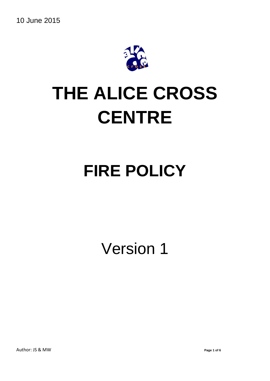10 June 2015



# **THE ALICE CROSS CENTRE**

# **FIRE POLICY**

Version 1

Author: JS & MW **Page 1 of 6**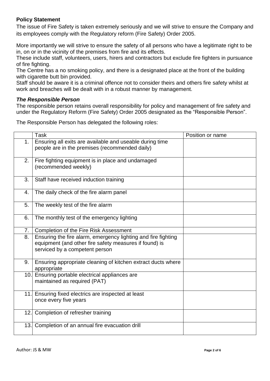# **Policy Statement**

The issue of Fire Safety is taken extremely seriously and we will strive to ensure the Company and its employees comply with the Regulatory reform (Fire Safety) Order 2005.

More importantly we will strive to ensure the safety of all persons who have a legitimate right to be in, on or in the vicinity of the premises from fire and its effects.

These include staff, volunteers, users, hirers and contractors but exclude fire fighters in pursuance of fire fighting.

The Centre has a no smoking policy, and there is a designated place at the front of the building with cigarette butt bin provided.

Staff should be aware it is a criminal offence not to consider theirs and others fire safety whilst at work and breaches will be dealt with in a robust manner by management.

#### *The Responsible Person*

The responsible person retains overall responsibility for policy and management of fire safety and under the Regulatory Reform (Fire Safety) Order 2005 designated as the "Responsible Person".

The Responsible Person has delegated the following roles:

|     | <b>Task</b>                                                                                                                                               | Position or name |
|-----|-----------------------------------------------------------------------------------------------------------------------------------------------------------|------------------|
| 1.  | Ensuring all exits are available and useable during time<br>people are in the premises (recommended daily)                                                |                  |
| 2.  | Fire fighting equipment is in place and undamaged<br>(recommended weekly)                                                                                 |                  |
| 3.  | Staff have received induction training                                                                                                                    |                  |
| 4.  | The daily check of the fire alarm panel                                                                                                                   |                  |
| 5.  | The weekly test of the fire alarm                                                                                                                         |                  |
| 6.  | The monthly test of the emergency lighting                                                                                                                |                  |
| 7.  | Completion of the Fire Risk Assessment                                                                                                                    |                  |
| 8.  | Ensuring the fire alarm, emergency lighting and fire fighting<br>equipment (and other fire safety measures if found) is<br>serviced by a competent person |                  |
| 9.  | Ensuring appropriate cleaning of kitchen extract ducts where<br>appropriate                                                                               |                  |
| 10. | Ensuring portable electrical appliances are<br>maintained as required (PAT)                                                                               |                  |
|     | 11. Ensuring fixed electrics are inspected at least<br>once every five years                                                                              |                  |
| 12. | Completion of refresher training                                                                                                                          |                  |
|     | 13. Completion of an annual fire evacuation drill                                                                                                         |                  |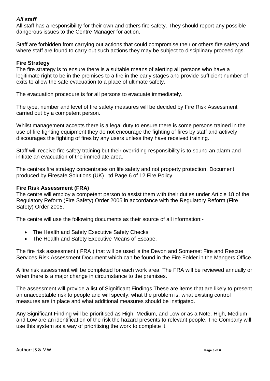# *All staff*

All staff has a responsibility for their own and others fire safety. They should report any possible dangerous issues to the Centre Manager for action.

Staff are forbidden from carrying out actions that could compromise their or others fire safety and where staff are found to carry out such actions they may be subject to disciplinary proceedings.

#### **Fire Strategy**

The fire strategy is to ensure there is a suitable means of alerting all persons who have a legitimate right to be in the premises to a fire in the early stages and provide sufficient number of exits to allow the safe evacuation to a place of ultimate safety.

The evacuation procedure is for all persons to evacuate immediately.

The type, number and level of fire safety measures will be decided by Fire Risk Assessment carried out by a competent person.

Whilst management accepts there is a legal duty to ensure there is some persons trained in the use of fire fighting equipment they do not encourage the fighting of fires by staff and actively discourages the fighting of fires by any users unless they have received training.

Staff will receive fire safety training but their overriding responsibility is to sound an alarm and initiate an evacuation of the immediate area.

The centres fire strategy concentrates on life safety and not property protection. Document produced by Firesafe Solutions (UK) Ltd Page 6 of 12 Fire Policy

# **Fire Risk Assessment (FRA)**

The centre will employ a competent person to assist them with their duties under Article 18 of the Regulatory Reform (Fire Safety) Order 2005 in accordance with the Regulatory Reform (Fire Safety) Order 2005.

The centre will use the following documents as their source of all information:-

- The Health and Safety Executive Safety Checks
- The Health and Safety Executive Means of Escape.

The fire risk assessment ( FRA ) that will be used is the Devon and Somerset Fire and Rescue Services Risk Assessment Document which can be found in the Fire Folder in the Mangers Office.

A fire risk assessment will be completed for each work area. The FRA will be reviewed annually or when there is a major change in circumstance to the premises.

The assessment will provide a list of Significant Findings These are items that are likely to present an unacceptable risk to people and will specify: what the problem is, what existing control measures are in place and what additional measures should be instigated.

Any Significant Finding will be prioritised as High, Medium, and Low or as a Note. High, Medium and Low are an identification of the risk the hazard presents to relevant people. The Company will use this system as a way of prioritising the work to complete it.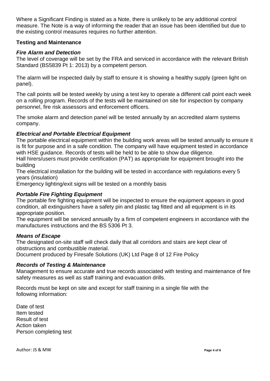Where a Significant Finding is stated as a Note, there is unlikely to be any additional control measure. The Note is a way of informing the reader that an issue has been identified but due to the existing control measures requires no further attention.

# **Testing and Maintenance**

# *Fire Alarm and Detection*

The level of coverage will be set by the FRA and serviced in accordance with the relevant British Standard (BS5839 Pt 1: 2013) by a competent person.

The alarm will be inspected daily by staff to ensure it is showing a healthy supply (green light on panel).

The call points will be tested weekly by using a test key to operate a different call point each week on a rolling program. Records of the tests will be maintained on site for inspection by company personnel, fire risk assessors and enforcement officers.

The smoke alarm and detection panel will be tested annually by an accredited alarm systems company.

# *Electrical and Portable Electrical Equipment*

The portable electrical equipment within the building work areas will be tested annually to ensure it is fit for purpose and in a safe condition. The company will have equipment tested in accordance with HSE guidance. Records of tests will be held to be able to show due diligence.

Hall hirers/users must provide certification (PAT) as appropriate for equipment brought into the building

The electrical installation for the building will be tested in accordance with regulations every 5 years (insulation)

Emergency lighting/exit signs will be tested on a monthly basis

# *Portable Fire Fighting Equipment*

The portable fire fighting equipment will be inspected to ensure the equipment appears in good condition, all extinguishers have a safety pin and plastic tag fitted and all equipment is in its appropriate position.

The equipment will be serviced annually by a firm of competent engineers in accordance with the manufactures instructions and the BS 5306 Pt 3.

# *Means of Escape*

The designated on-site staff will check daily that all corridors and stairs are kept clear of obstructions and combustible material.

Document produced by Firesafe Solutions (UK) Ltd Page 8 of 12 Fire Policy

# *Records of Testing & Maintenance*

Management to ensure accurate and true records associated with testing and maintenance of fire safety measures as well as staff training and evacuation drills.

Records must be kept on site and except for staff training in a single file with the following information:

Date of test Item tested Result of test Action taken Person completing test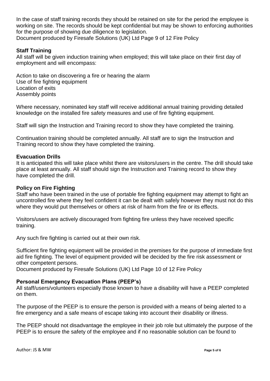In the case of staff training records they should be retained on site for the period the employee is working on site. The records should be kept confidential but may be shown to enforcing authorities for the purpose of showing due diligence to legislation. Document produced by Firesafe Solutions (UK) Ltd Page 9 of 12 Fire Policy

# **Staff Training**

All staff will be given induction training when employed; this will take place on their first day of employment and will encompass:

Action to take on discovering a fire or hearing the alarm Use of fire fighting equipment Location of exits Assembly points

Where necessary, nominated key staff will receive additional annual training providing detailed knowledge on the installed fire safety measures and use of fire fighting equipment.

Staff will sign the Instruction and Training record to show they have completed the training.

Continuation training should be completed annually. All staff are to sign the Instruction and Training record to show they have completed the training.

#### **Evacuation Drills**

It is anticipated this will take place whilst there are visitors/users in the centre. The drill should take place at least annually. All staff should sign the Instruction and Training record to show they have completed the drill.

#### **Policy on Fire Fighting**

Staff who have been trained in the use of portable fire fighting equipment may attempt to fight an uncontrolled fire where they feel confident it can be dealt with safely however they must not do this where they would put themselves or others at risk of harm from the fire or its effects.

Visitors/users are actively discouraged from fighting fire unless they have received specific training.

Any such fire fighting is carried out at their own risk.

Sufficient fire fighting equipment will be provided in the premises for the purpose of immediate first aid fire fighting. The level of equipment provided will be decided by the fire risk assessment or other competent persons.

Document produced by Firesafe Solutions (UK) Ltd Page 10 of 12 Fire Policy

# **Personal Emergency Evacuation Plans (PEEP's)**

All staff/users/volunteers especially those known to have a disability will have a PEEP completed on them.

The purpose of the PEEP is to ensure the person is provided with a means of being alerted to a fire emergency and a safe means of escape taking into account their disability or illness.

The PEEP should not disadvantage the employee in their job role but ultimately the purpose of the PEEP is to ensure the safety of the employee and if no reasonable solution can be found to